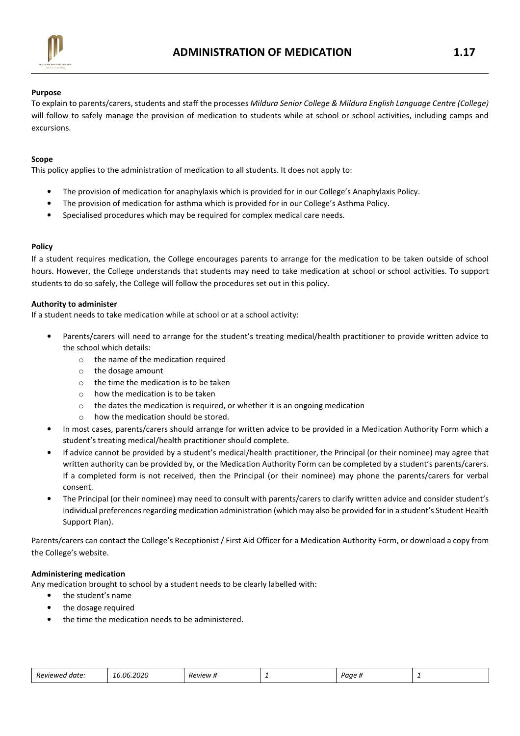

## Purpose

To explain to parents/carers, students and staff the processes Mildura Senior College & Mildura English Language Centre (College) will follow to safely manage the provision of medication to students while at school or school activities, including camps and excursions.

## Scope

This policy applies to the administration of medication to all students. It does not apply to:

- The provision of medication for anaphylaxis which is provided for in our College's Anaphylaxis Policy.
- The provision of medication for asthma which is provided for in our College's Asthma Policy.
- Specialised procedures which may be required for complex medical care needs.

# Policy

If a student requires medication, the College encourages parents to arrange for the medication to be taken outside of school hours. However, the College understands that students may need to take medication at school or school activities. To support students to do so safely, the College will follow the procedures set out in this policy.

#### Authority to administer

If a student needs to take medication while at school or at a school activity:

- Parents/carers will need to arrange for the student's treating medical/health practitioner to provide written advice to the school which details:
	- o the name of the medication required
	- o the dosage amount
	- o the time the medication is to be taken
	- o how the medication is to be taken
	- o the dates the medication is required, or whether it is an ongoing medication
	- o how the medication should be stored.
- In most cases, parents/carers should arrange for written advice to be provided in a Medication Authority Form which a student's treating medical/health practitioner should complete.
- If advice cannot be provided by a student's medical/health practitioner, the Principal (or their nominee) may agree that written authority can be provided by, or the Medication Authority Form can be completed by a student's parents/carers. If a completed form is not received, then the Principal (or their nominee) may phone the parents/carers for verbal consent.
- The Principal (or their nominee) may need to consult with parents/carers to clarify written advice and consider student's individual preferences regarding medication administration (which may also be provided for in a student's Student Health Support Plan).

Parents/carers can contact the College's Receptionist / First Aid Officer for a Medication Authority Form, or download a copy from the College's website.

#### Administering medication

Any medication brought to school by a student needs to be clearly labelled with:

- the student's name
- the dosage required
- the time the medication needs to be administered.

| Reviewed<br>i date. | 16.06.2020 | Review # | - | Paae<br>. |  |
|---------------------|------------|----------|---|-----------|--|
|---------------------|------------|----------|---|-----------|--|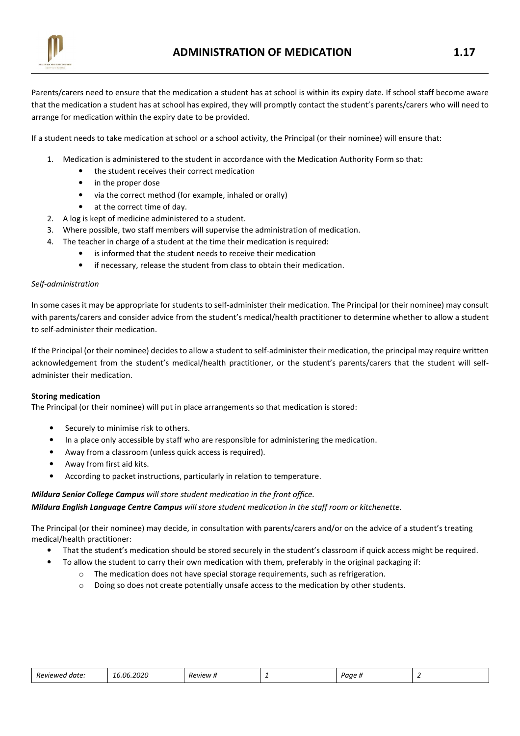

Parents/carers need to ensure that the medication a student has at school is within its expiry date. If school staff become aware that the medication a student has at school has expired, they will promptly contact the student's parents/carers who will need to arrange for medication within the expiry date to be provided.

If a student needs to take medication at school or a school activity, the Principal (or their nominee) will ensure that:

- 1. Medication is administered to the student in accordance with the Medication Authority Form so that:
	- the student receives their correct medication
	- in the proper dose
	- via the correct method (for example, inhaled or orally)
	- at the correct time of day.
- 2. A log is kept of medicine administered to a student.
- 3. Where possible, two staff members will supervise the administration of medication.
- 4. The teacher in charge of a student at the time their medication is required:
	- is informed that the student needs to receive their medication
	- if necessary, release the student from class to obtain their medication.

#### Self-administration

In some cases it may be appropriate for students to self-administer their medication. The Principal (or their nominee) may consult with parents/carers and consider advice from the student's medical/health practitioner to determine whether to allow a student to self-administer their medication.

If the Principal (or their nominee) decides to allow a student to self-administer their medication, the principal may require written acknowledgement from the student's medical/health practitioner, or the student's parents/carers that the student will selfadminister their medication.

#### Storing medication

The Principal (or their nominee) will put in place arrangements so that medication is stored:

- Securely to minimise risk to others.
- In a place only accessible by staff who are responsible for administering the medication.
- Away from a classroom (unless quick access is required).
- Away from first aid kits.
- According to packet instructions, particularly in relation to temperature.

#### Mildura Senior College Campus will store student medication in the front office.

Mildura English Language Centre Campus will store student medication in the staff room or kitchenette.

The Principal (or their nominee) may decide, in consultation with parents/carers and/or on the advice of a student's treating medical/health practitioner:

- That the student's medication should be stored securely in the student's classroom if quick access might be required.
- To allow the student to carry their own medication with them, preferably in the original packaging if:
	- $\circ$  The medication does not have special storage requirements, such as refrigeration.
	- $\circ$  Doing so does not create potentially unsafe access to the medication by other students.

| Reviewed<br>ı date: | 6.06.2020 ـ | <b>Review #</b> | - | Paae " |  |
|---------------------|-------------|-----------------|---|--------|--|
|---------------------|-------------|-----------------|---|--------|--|